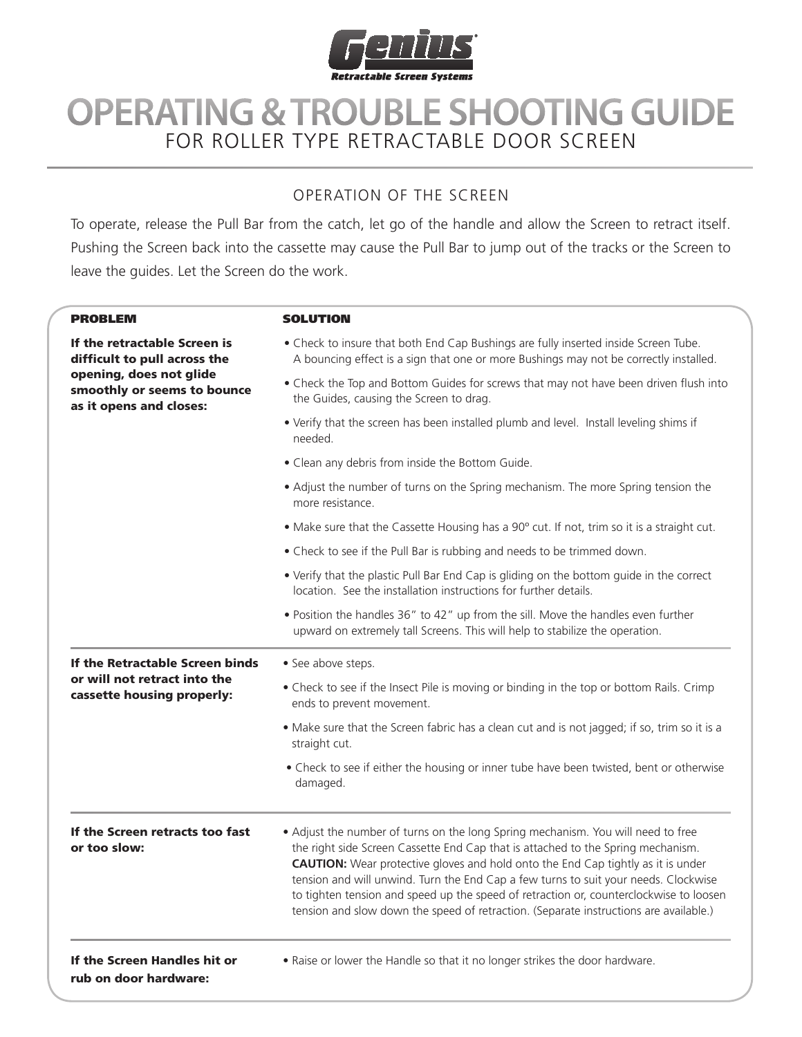

## **OPERATING & TROUBLE SHOOTING GUIDE** For Roller Type Retractable Door Screen

## OPERATION OF THE Screen

To operate, release the Pull Bar from the catch, let go of the handle and allow the Screen to retract itself. Pushing the Screen back into the cassette may cause the Pull Bar to jump out of the tracks or the Screen to leave the guides. Let the Screen do the work.

| <b>PROBLEM</b>                                                                                                                                    | <b>SOLUTION</b>                                                                                                                                                                                                                                                                                                                                                                                                                                  |
|---------------------------------------------------------------------------------------------------------------------------------------------------|--------------------------------------------------------------------------------------------------------------------------------------------------------------------------------------------------------------------------------------------------------------------------------------------------------------------------------------------------------------------------------------------------------------------------------------------------|
| If the retractable Screen is<br>difficult to pull across the<br>opening, does not glide<br>smoothly or seems to bounce<br>as it opens and closes: | . Check to insure that both End Cap Bushings are fully inserted inside Screen Tube.<br>A bouncing effect is a sign that one or more Bushings may not be correctly installed.                                                                                                                                                                                                                                                                     |
|                                                                                                                                                   | • Check the Top and Bottom Guides for screws that may not have been driven flush into<br>the Guides, causing the Screen to drag.                                                                                                                                                                                                                                                                                                                 |
|                                                                                                                                                   | . Verify that the screen has been installed plumb and level. Install leveling shims if<br>needed.                                                                                                                                                                                                                                                                                                                                                |
|                                                                                                                                                   | • Clean any debris from inside the Bottom Guide.                                                                                                                                                                                                                                                                                                                                                                                                 |
|                                                                                                                                                   | • Adjust the number of turns on the Spring mechanism. The more Spring tension the<br>more resistance.                                                                                                                                                                                                                                                                                                                                            |
|                                                                                                                                                   | . Make sure that the Cassette Housing has a 90° cut. If not, trim so it is a straight cut.                                                                                                                                                                                                                                                                                                                                                       |
|                                                                                                                                                   | • Check to see if the Pull Bar is rubbing and needs to be trimmed down.                                                                                                                                                                                                                                                                                                                                                                          |
|                                                                                                                                                   | • Verify that the plastic Pull Bar End Cap is gliding on the bottom guide in the correct<br>location. See the installation instructions for further details.                                                                                                                                                                                                                                                                                     |
|                                                                                                                                                   | . Position the handles 36" to 42" up from the sill. Move the handles even further<br>upward on extremely tall Screens. This will help to stabilize the operation.                                                                                                                                                                                                                                                                                |
| If the Retractable Screen binds<br>or will not retract into the<br>cassette housing properly:                                                     | • See above steps.                                                                                                                                                                                                                                                                                                                                                                                                                               |
|                                                                                                                                                   | • Check to see if the Insect Pile is moving or binding in the top or bottom Rails. Crimp<br>ends to prevent movement.                                                                                                                                                                                                                                                                                                                            |
|                                                                                                                                                   | • Make sure that the Screen fabric has a clean cut and is not jagged; if so, trim so it is a<br>straight cut.                                                                                                                                                                                                                                                                                                                                    |
|                                                                                                                                                   | • Check to see if either the housing or inner tube have been twisted, bent or otherwise<br>damaged.                                                                                                                                                                                                                                                                                                                                              |
| If the Screen retracts too fast<br>or too slow:                                                                                                   | • Adjust the number of turns on the long Spring mechanism. You will need to free<br>the right side Screen Cassette End Cap that is attached to the Spring mechanism.<br><b>CAUTION:</b> Wear protective gloves and hold onto the End Cap tightly as it is under<br>tension and will unwind. Turn the End Cap a few turns to suit your needs. Clockwise<br>to tighten tension and speed up the speed of retraction or, counterclockwise to loosen |

## If the Screen Handles hit or rub on door hardware:

• Raise or lower the Handle so that it no longer strikes the door hardware.

tension and slow down the speed of retraction. (Separate instructions are available.)